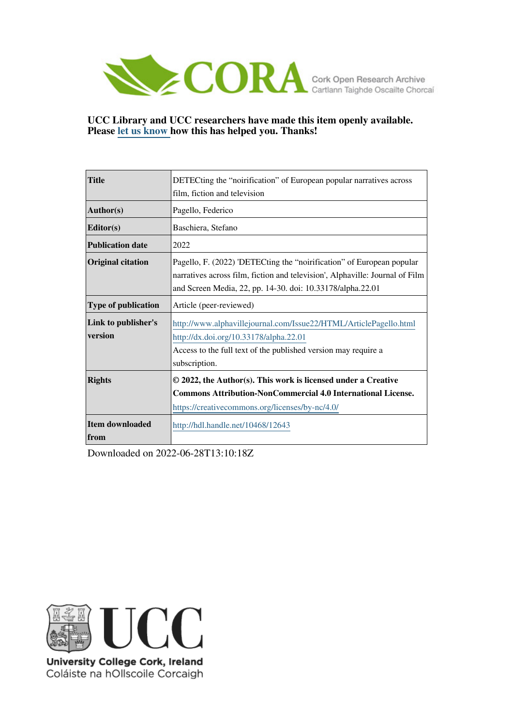

# **UCC Library and UCC researchers have made this item openly available. Please [let us know h](https://libguides.ucc.ie/openaccess/impact?suffix=12643&title=DETECting the �noirification� of European popular narratives across film, fiction and television)ow this has helped you. Thanks!**

| <b>Title</b>                   | DETECting the "noirification" of European popular narratives across                                                                                                                                                 |  |  |  |  |
|--------------------------------|---------------------------------------------------------------------------------------------------------------------------------------------------------------------------------------------------------------------|--|--|--|--|
|                                | film, fiction and television                                                                                                                                                                                        |  |  |  |  |
| Author(s)                      | Pagello, Federico                                                                                                                                                                                                   |  |  |  |  |
| Editor(s)                      | Baschiera, Stefano                                                                                                                                                                                                  |  |  |  |  |
| <b>Publication date</b>        | 2022                                                                                                                                                                                                                |  |  |  |  |
| <b>Original citation</b>       | Pagello, F. (2022) 'DETECting the "noirification" of European popular<br>narratives across film, fiction and television', Alphaville: Journal of Film<br>and Screen Media, 22, pp. 14-30. doi: 10.33178/alpha.22.01 |  |  |  |  |
| <b>Type of publication</b>     | Article (peer-reviewed)                                                                                                                                                                                             |  |  |  |  |
| Link to publisher's<br>version | http://www.alphavillejournal.com/Issue22/HTML/ArticlePagello.html<br>http://dx.doi.org/10.33178/alpha.22.01<br>Access to the full text of the published version may require a<br>subscription.                      |  |  |  |  |
| <b>Rights</b>                  | © 2022, the Author(s). This work is licensed under a Creative<br><b>Commons Attribution-NonCommercial 4.0 International License.</b><br>https://creativecommons.org/licenses/by-nc/4.0/                             |  |  |  |  |
| Item downloaded<br>from        | http://hdl.handle.net/10468/12643                                                                                                                                                                                   |  |  |  |  |

Downloaded on 2022-06-28T13:10:18Z



University College Cork, Ireland Coláiste na hOllscoile Corcaigh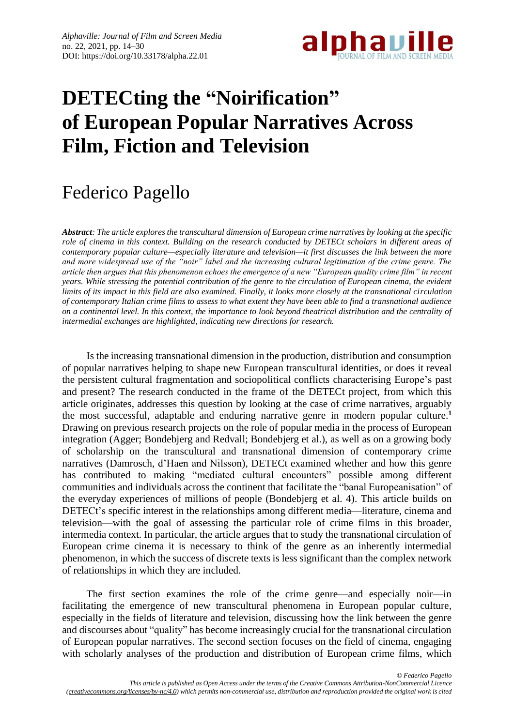

# **DETECting the "Noirification" of European Popular Narratives Across Film, Fiction and Television**

# Federico Pagello

*Abstract: The article explores the transcultural dimension of European crime narratives by looking at the specific role of cinema in this context. Building on the research conducted by DETECt scholars in different areas of contemporary popular culture—especially literature and television—it first discusses the link between the more and more widespread use of the "noir" label and the increasing cultural legitimation of the crime genre. The article then argues that this phenomenon echoes the emergence of a new "European quality crime film" in recent years. While stressing the potential contribution of the genre to the circulation of European cinema, the evident limits of its impact in this field are also examined. Finally, it looks more closely at the transnational circulation of contemporary Italian crime films to assess to what extent they have been able to find a transnational audience on a continental level. In this context, the importance to look beyond theatrical distribution and the centrality of intermedial exchanges are highlighted, indicating new directions for research.*

Is the increasing transnational dimension in the production, distribution and consumption of popular narratives helping to shape new European transcultural identities, or does it reveal the persistent cultural fragmentation and sociopolitical conflicts characterising Europe's past and present? The research conducted in the frame of the DETECt project, from which this article originates, addresses this question by looking at the case of crime narratives, arguably the most successful, adaptable and enduring narrative genre in modern popular culture. **1** Drawing on previous research projects on the role of popular media in the process of European integration (Agger; Bondebjerg and Redvall; Bondebjerg et al.), as well as on a growing body of scholarship on the transcultural and transnational dimension of contemporary crime narratives (Damrosch, d'Haen and Nilsson), DETECt examined whether and how this genre has contributed to making "mediated cultural encounters" possible among different communities and individuals across the continent that facilitate the "banal Europeanisation" of the everyday experiences of millions of people (Bondebjerg et al. 4). This article builds on DETECt's specific interest in the relationships among different media—literature, cinema and television—with the goal of assessing the particular role of crime films in this broader, intermedia context. In particular, the article argues that to study the transnational circulation of European crime cinema it is necessary to think of the genre as an inherently intermedial phenomenon, in which the success of discrete texts is less significant than the complex network of relationships in which they are included.

The first section examines the role of the crime genre—and especially noir—in facilitating the emergence of new transcultural phenomena in European popular culture, especially in the fields of literature and television, discussing how the link between the genre and discourses about "quality" has become increasingly crucial for the transnational circulation of European popular narratives. The second section focuses on the field of cinema, engaging with scholarly analyses of the production and distribution of European crime films, which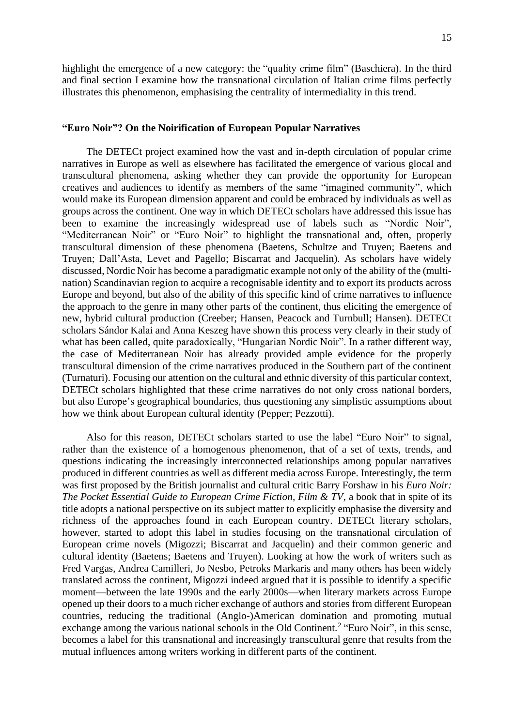highlight the emergence of a new category: the "quality crime film" (Baschiera). In the third and final section I examine how the transnational circulation of Italian crime films perfectly illustrates this phenomenon, emphasising the centrality of intermediality in this trend.

#### **"Euro Noir"? On the Noirification of European Popular Narratives**

The DETECt project examined how the vast and in-depth circulation of popular crime narratives in Europe as well as elsewhere has facilitated the emergence of various glocal and transcultural phenomena, asking whether they can provide the opportunity for European creatives and audiences to identify as members of the same "imagined community", which would make its European dimension apparent and could be embraced by individuals as well as groups across the continent. One way in which DETECt scholars have addressed this issue has been to examine the increasingly widespread use of labels such as "Nordic Noir", "Mediterranean Noir" or "Euro Noir" to highlight the transnational and, often, properly transcultural dimension of these phenomena (Baetens, Schultze and Truyen; Baetens and Truyen; Dall'Asta, Levet and Pagello; Biscarrat and Jacquelin). As scholars have widely discussed, Nordic Noir has become a paradigmatic example not only of the ability of the (multination) Scandinavian region to acquire a recognisable identity and to export its products across Europe and beyond, but also of the ability of this specific kind of crime narratives to influence the approach to the genre in many other parts of the continent, thus eliciting the emergence of new, hybrid cultural production (Creeber; Hansen, Peacock and Turnbull; Hansen). DETECt scholars Sándor Kalai and Anna Keszeg have shown this process very clearly in their study of what has been called, quite paradoxically, "Hungarian Nordic Noir". In a rather different way, the case of Mediterranean Noir has already provided ample evidence for the properly transcultural dimension of the crime narratives produced in the Southern part of the continent (Turnaturi). Focusing our attention on the cultural and ethnic diversity of this particular context, DETECt scholars highlighted that these crime narratives do not only cross national borders, but also Europe's geographical boundaries, thus questioning any simplistic assumptions about how we think about European cultural identity (Pepper; Pezzotti).

Also for this reason, DETECt scholars started to use the label "Euro Noir" to signal, rather than the existence of a homogenous phenomenon, that of a set of texts, trends, and questions indicating the increasingly interconnected relationships among popular narratives produced in different countries as well as different media across Europe. Interestingly, the term was first proposed by the British journalist and cultural critic Barry Forshaw in his *Euro Noir: The Pocket Essential Guide to European Crime Fiction, Film & TV*, a book that in spite of its title adopts a national perspective on its subject matter to explicitly emphasise the diversity and richness of the approaches found in each European country. DETECt literary scholars, however, started to adopt this label in studies focusing on the transnational circulation of European crime novels (Migozzi; Biscarrat and Jacquelin) and their common generic and cultural identity (Baetens; Baetens and Truyen). Looking at how the work of writers such as Fred Vargas, Andrea Camilleri, Jo Nesbo, Petroks Markaris and many others has been widely translated across the continent, Migozzi indeed argued that it is possible to identify a specific moment—between the late 1990s and the early 2000s—when literary markets across Europe opened up their doors to a much richer exchange of authors and stories from different European countries, reducing the traditional (Anglo-)American domination and promoting mutual exchange among the various national schools in the Old Continent.<sup>2</sup> "Euro Noir", in this sense, becomes a label for this transnational and increasingly transcultural genre that results from the mutual influences among writers working in different parts of the continent.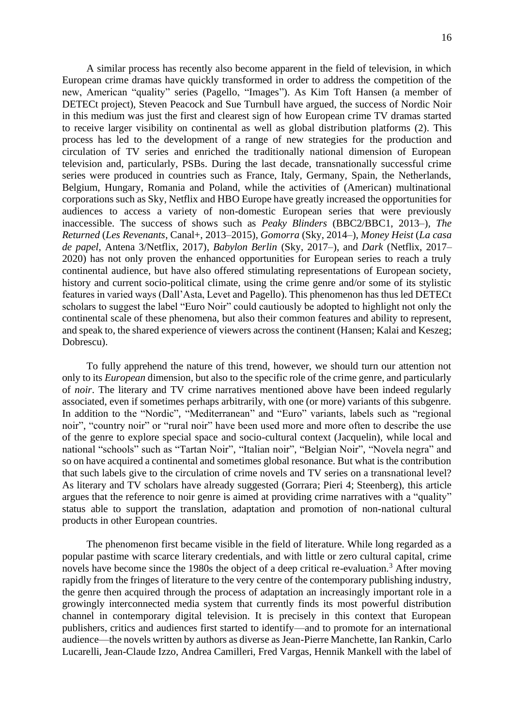A similar process has recently also become apparent in the field of television, in which European crime dramas have quickly transformed in order to address the competition of the new, American "quality" series (Pagello, "Images"). As Kim Toft Hansen (a member of DETECt project), Steven Peacock and Sue Turnbull have argued, the success of Nordic Noir in this medium was just the first and clearest sign of how European crime TV dramas started to receive larger visibility on continental as well as global distribution platforms (2). This process has led to the development of a range of new strategies for the production and circulation of TV series and enriched the traditionally national dimension of European television and, particularly, PSBs. During the last decade, transnationally successful crime series were produced in countries such as France, Italy, Germany, Spain, the Netherlands, Belgium, Hungary, Romania and Poland, while the activities of (American) multinational corporations such as Sky, Netflix and HBO Europe have greatly increased the opportunities for audiences to access a variety of non-domestic European series that were previously inaccessible. The success of shows such as *Peaky Blinders* (BBC2/BBC1, 2013–)*, The Returned* (*Les Revenants*, Canal+, 2013–2015)*, Gomorra* (Sky, 2014–)*, Money Heist* (*La casa de papel*, Antena 3/Netflix, 2017)*, Babylon Berlin* (Sky, 2017–), and *Dark* (Netflix, 2017– 2020) has not only proven the enhanced opportunities for European series to reach a truly continental audience, but have also offered stimulating representations of European society, history and current socio-political climate, using the crime genre and/or some of its stylistic features in varied ways (Dall'Asta, Levet and Pagello). This phenomenon has thus led DETECt scholars to suggest the label "Euro Noir" could cautiously be adopted to highlight not only the continental scale of these phenomena, but also their common features and ability to represent, and speak to, the shared experience of viewers across the continent (Hansen; Kalai and Keszeg; Dobrescu).

To fully apprehend the nature of this trend, however, we should turn our attention not only to its *European* dimension, but also to the specific role of the crime genre, and particularly of *noir*. The literary and TV crime narratives mentioned above have been indeed regularly associated, even if sometimes perhaps arbitrarily, with one (or more) variants of this subgenre. In addition to the "Nordic", "Mediterranean" and "Euro" variants, labels such as "regional noir", "country noir" or "rural noir" have been used more and more often to describe the use of the genre to explore special space and socio-cultural context (Jacquelin), while local and national "schools" such as "Tartan Noir", "Italian noir", "Belgian Noir", "Novela negra" and so on have acquired a continental and sometimes global resonance. But what is the contribution that such labels give to the circulation of crime novels and TV series on a transnational level? As literary and TV scholars have already suggested (Gorrara; Pieri 4; Steenberg), this article argues that the reference to noir genre is aimed at providing crime narratives with a "quality" status able to support the translation, adaptation and promotion of non-national cultural products in other European countries.

The phenomenon first became visible in the field of literature. While long regarded as a popular pastime with scarce literary credentials, and with little or zero cultural capital, crime novels have become since the 1980s the object of a deep critical re-evaluation.<sup>3</sup> After moving rapidly from the fringes of literature to the very centre of the contemporary publishing industry, the genre then acquired through the process of adaptation an increasingly important role in a growingly interconnected media system that currently finds its most powerful distribution channel in contemporary digital television. It is precisely in this context that European publishers, critics and audiences first started to identify—and to promote for an international audience—the novels written by authors as diverse as Jean-Pierre Manchette, Ian Rankin, Carlo Lucarelli, Jean-Claude Izzo, Andrea Camilleri, Fred Vargas, Hennik Mankell with the label of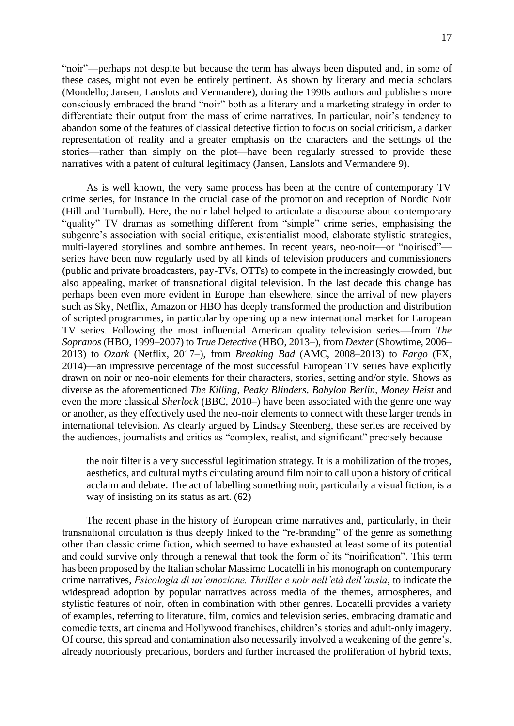"noir"—perhaps not despite but because the term has always been disputed and, in some of these cases, might not even be entirely pertinent. As shown by literary and media scholars (Mondello; Jansen, Lanslots and Vermandere), during the 1990s authors and publishers more consciously embraced the brand "noir" both as a literary and a marketing strategy in order to differentiate their output from the mass of crime narratives. In particular, noir's tendency to abandon some of the features of classical detective fiction to focus on social criticism, a darker representation of reality and a greater emphasis on the characters and the settings of the stories—rather than simply on the plot—have been regularly stressed to provide these narratives with a patent of cultural legitimacy (Jansen, Lanslots and Vermandere 9).

As is well known, the very same process has been at the centre of contemporary TV crime series, for instance in the crucial case of the promotion and reception of Nordic Noir (Hill and Turnbull). Here, the noir label helped to articulate a discourse about contemporary "quality" TV dramas as something different from "simple" crime series, emphasising the subgenre's association with social critique, existentialist mood, elaborate stylistic strategies, multi-layered storylines and sombre antiheroes. In recent years, neo-noir—or "noirised" series have been now regularly used by all kinds of television producers and commissioners (public and private broadcasters, pay-TVs, OTTs) to compete in the increasingly crowded, but also appealing, market of transnational digital television. In the last decade this change has perhaps been even more evident in Europe than elsewhere, since the arrival of new players such as Sky, Netflix, Amazon or HBO has deeply transformed the production and distribution of scripted programmes, in particular by opening up a new international market for European TV series. Following the most influential American quality television series—from *The Sopranos* (HBO, 1999–2007) to *True Detective* (HBO, 2013–), from *Dexter* (Showtime, 2006– 2013) to *Ozark* (Netflix, 2017–), from *Breaking Bad* (AMC, 2008–2013) to *Fargo* (FX, 2014)—an impressive percentage of the most successful European TV series have explicitly drawn on noir or neo-noir elements for their characters, stories, setting and/or style. Shows as diverse as the aforementioned *The Killing*, *Peaky Blinders*, *Babylon Berlin*, *Money Heist* and even the more classical *Sherlock* (BBC, 2010–) have been associated with the genre one way or another, as they effectively used the neo-noir elements to connect with these larger trends in international television. As clearly argued by Lindsay Steenberg, these series are received by the audiences, journalists and critics as "complex, realist, and significant" precisely because

the noir filter is a very successful legitimation strategy. It is a mobilization of the tropes, aesthetics, and cultural myths circulating around film noir to call upon a history of critical acclaim and debate. The act of labelling something noir, particularly a visual fiction, is a way of insisting on its status as art. (62)

The recent phase in the history of European crime narratives and, particularly, in their transnational circulation is thus deeply linked to the "re-branding" of the genre as something other than classic crime fiction, which seemed to have exhausted at least some of its potential and could survive only through a renewal that took the form of its "noirification". This term has been proposed by the Italian scholar Massimo Locatelli in his monograph on contemporary crime narratives, *Psicologia di un'emozione. Thriller e noir nell'età dell'ansia*, to indicate the widespread adoption by popular narratives across media of the themes, atmospheres, and stylistic features of noir, often in combination with other genres. Locatelli provides a variety of examples, referring to literature, film, comics and television series, embracing dramatic and comedic texts, art cinema and Hollywood franchises, children's stories and adult-only imagery. Of course, this spread and contamination also necessarily involved a weakening of the genre's, already notoriously precarious, borders and further increased the proliferation of hybrid texts,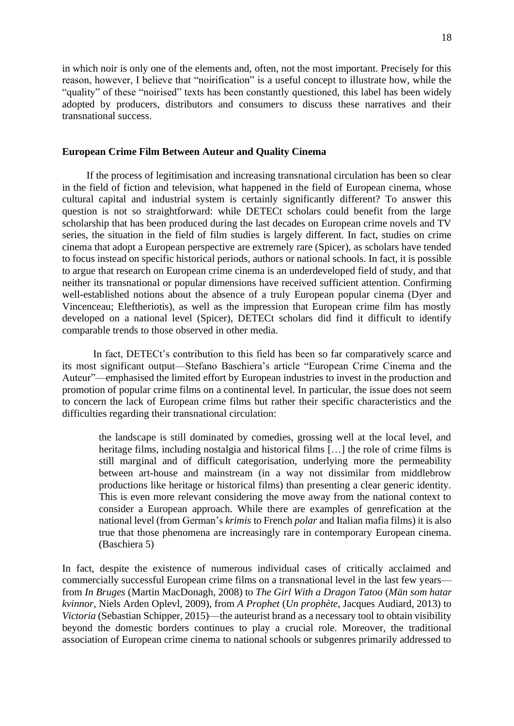in which noir is only one of the elements and, often, not the most important. Precisely for this reason, however, I believe that "noirification" is a useful concept to illustrate how, while the "quality" of these "noirised" texts has been constantly questioned, this label has been widely adopted by producers, distributors and consumers to discuss these narratives and their transnational success.

#### **European Crime Film Between Auteur and Quality Cinema**

If the process of legitimisation and increasing transnational circulation has been so clear in the field of fiction and television, what happened in the field of European cinema, whose cultural capital and industrial system is certainly significantly different? To answer this question is not so straightforward: while DETECt scholars could benefit from the large scholarship that has been produced during the last decades on European crime novels and TV series, the situation in the field of film studies is largely different. In fact, studies on crime cinema that adopt a European perspective are extremely rare (Spicer), as scholars have tended to focus instead on specific historical periods, authors or national schools. In fact, it is possible to argue that research on European crime cinema is an underdeveloped field of study, and that neither its transnational or popular dimensions have received sufficient attention. Confirming well-established notions about the absence of a truly European popular cinema (Dyer and Vincenceau; Eleftheriotis), as well as the impression that European crime film has mostly developed on a national level (Spicer), DETECt scholars did find it difficult to identify comparable trends to those observed in other media.

In fact, DETECt's contribution to this field has been so far comparatively scarce and its most significant output—Stefano Baschiera's article "European Crime Cinema and the Auteur"—emphasised the limited effort by European industries to invest in the production and promotion of popular crime films on a continental level. In particular, the issue does not seem to concern the lack of European crime films but rather their specific characteristics and the difficulties regarding their transnational circulation:

the landscape is still dominated by comedies, grossing well at the local level, and heritage films, including nostalgia and historical films [...] the role of crime films is still marginal and of difficult categorisation, underlying more the permeability between art-house and mainstream (in a way not dissimilar from middlebrow productions like heritage or historical films) than presenting a clear generic identity. This is even more relevant considering the move away from the national context to consider a European approach. While there are examples of genrefication at the national level (from German's *krimis* to French *polar* and Italian mafia films) it is also true that those phenomena are increasingly rare in contemporary European cinema. (Baschiera 5)

In fact, despite the existence of numerous individual cases of critically acclaimed and commercially successful European crime films on a transnational level in the last few years from *In Bruges* (Martin MacDonagh, 2008) to *The Girl With a Dragon Tatoo* (*Män som hatar kvinnor*, Niels Arden Oplevl, 2009), from *A Prophet* (*Un prophète*, Jacques Audiard, 2013) to *Victoria* (Sebastian Schipper, 2015)—the auteurist brand as a necessary tool to obtain visibility beyond the domestic borders continues to play a crucial role. Moreover, the traditional association of European crime cinema to national schools or subgenres primarily addressed to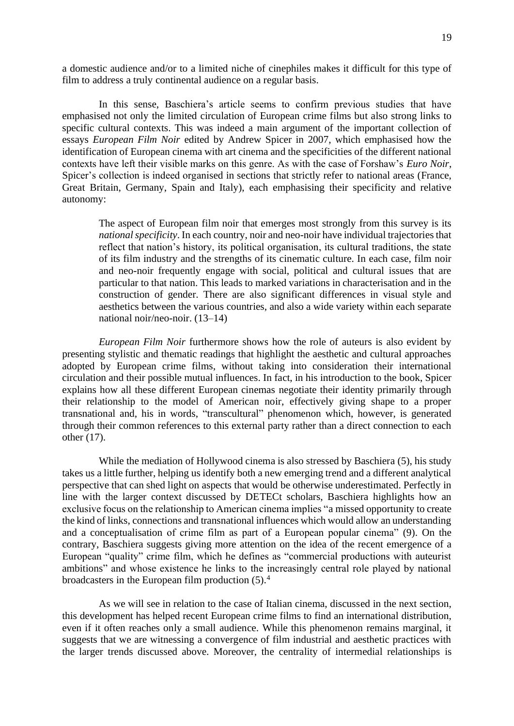a domestic audience and/or to a limited niche of cinephiles makes it difficult for this type of film to address a truly continental audience on a regular basis.

In this sense, Baschiera's article seems to confirm previous studies that have emphasised not only the limited circulation of European crime films but also strong links to specific cultural contexts. This was indeed a main argument of the important collection of essays *European Film Noir* edited by Andrew Spicer in 2007, which emphasised how the identification of European cinema with art cinema and the specificities of the different national contexts have left their visible marks on this genre. As with the case of Forshaw's *Euro Noir*, Spicer's collection is indeed organised in sections that strictly refer to national areas (France, Great Britain, Germany, Spain and Italy), each emphasising their specificity and relative autonomy:

The aspect of European film noir that emerges most strongly from this survey is its *national specificity*. In each country, noir and neo-noir have individual trajectories that reflect that nation's history, its political organisation, its cultural traditions, the state of its film industry and the strengths of its cinematic culture. In each case, film noir and neo-noir frequently engage with social, political and cultural issues that are particular to that nation. This leads to marked variations in characterisation and in the construction of gender. There are also significant differences in visual style and aesthetics between the various countries, and also a wide variety within each separate national noir/neo-noir. (13–14)

*European Film Noir* furthermore shows how the role of auteurs is also evident by presenting stylistic and thematic readings that highlight the aesthetic and cultural approaches adopted by European crime films, without taking into consideration their international circulation and their possible mutual influences. In fact, in his introduction to the book, Spicer explains how all these different European cinemas negotiate their identity primarily through their relationship to the model of American noir, effectively giving shape to a proper transnational and, his in words, "transcultural" phenomenon which, however, is generated through their common references to this external party rather than a direct connection to each other (17).

While the mediation of Hollywood cinema is also stressed by Baschiera (5), his study takes us a little further, helping us identify both a new emerging trend and a different analytical perspective that can shed light on aspects that would be otherwise underestimated. Perfectly in line with the larger context discussed by DETECt scholars, Baschiera highlights how an exclusive focus on the relationship to American cinema implies "a missed opportunity to create the kind of links, connections and transnational influences which would allow an understanding and a conceptualisation of crime film as part of a European popular cinema" (9). On the contrary, Baschiera suggests giving more attention on the idea of the recent emergence of a European "quality" crime film, which he defines as "commercial productions with auteurist ambitions" and whose existence he links to the increasingly central role played by national broadcasters in the European film production (5).<sup>4</sup>

As we will see in relation to the case of Italian cinema, discussed in the next section, this development has helped recent European crime films to find an international distribution, even if it often reaches only a small audience. While this phenomenon remains marginal, it suggests that we are witnessing a convergence of film industrial and aesthetic practices with the larger trends discussed above. Moreover, the centrality of intermedial relationships is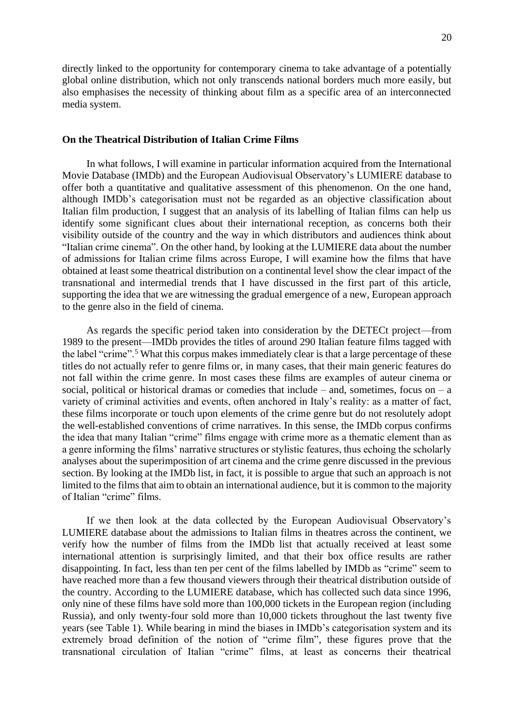directly linked to the opportunity for contemporary cinema to take advantage of a potentially global online distribution, which not only transcends national borders much more easily, but also emphasises the necessity of thinking about film as a specific area of an interconnected media system.

### **On the Theatrical Distribution of Italian Crime Films**

In what follows, I will examine in particular information acquired from the International Movie Database (IMDb) and the European Audiovisual Observatory's LUMIERE database to offer both a quantitative and qualitative assessment of this phenomenon. On the one hand, although IMDb's categorisation must not be regarded as an objective classification about Italian film production, I suggest that an analysis of its labelling of Italian films can help us identify some significant clues about their international reception, as concerns both their visibility outside of the country and the way in which distributors and audiences think about "Italian crime cinema". On the other hand, by looking at the LUMIERE data about the number of admissions for Italian crime films across Europe, I will examine how the films that have obtained at least some theatrical distribution on a continental level show the clear impact of the transnational and intermedial trends that I have discussed in the first part of this article, supporting the idea that we are witnessing the gradual emergence of a new, European approach to the genre also in the field of cinema.

As regards the specific period taken into consideration by the DETECt project—from 1989 to the present—IMDb provides the titles of around 290 Italian feature films tagged with the label "crime".<sup>5</sup> What this corpus makes immediately clear is that a large percentage of these titles do not actually refer to genre films or, in many cases, that their main generic features do not fall within the crime genre. In most cases these films are examples of auteur cinema or social, political or historical dramas or comedies that include – and, sometimes, focus on – a variety of criminal activities and events, often anchored in Italy's reality: as a matter of fact, these films incorporate or touch upon elements of the crime genre but do not resolutely adopt the well-established conventions of crime narratives. In this sense, the IMDb corpus confirms the idea that many Italian "crime" films engage with crime more as a thematic element than as a genre informing the films' narrative structures or stylistic features, thus echoing the scholarly analyses about the superimposition of art cinema and the crime genre discussed in the previous section. By looking at the IMDb list, in fact, it is possible to argue that such an approach is not limited to the films that aim to obtain an international audience, but it is common to the majority of Italian "crime" films.

If we then look at the data collected by the European Audiovisual Observatory's LUMIERE database about the admissions to Italian films in theatres across the continent, we verify how the number of films from the IMDb list that actually received at least some international attention is surprisingly limited, and that their box office results are rather disappointing. In fact, less than ten per cent of the films labelled by IMDb as "crime" seem to have reached more than a few thousand viewers through their theatrical distribution outside of the country. According to the LUMIERE database, which has collected such data since 1996, only nine of these films have sold more than 100,000 tickets in the European region (including Russia), and only twenty-four sold more than 10,000 tickets throughout the last twenty five years (see Table 1). While bearing in mind the biases in IMDb's categorisation system and its extremely broad definition of the notion of "crime film", these figures prove that the transnational circulation of Italian "crime" films, at least as concerns their theatrical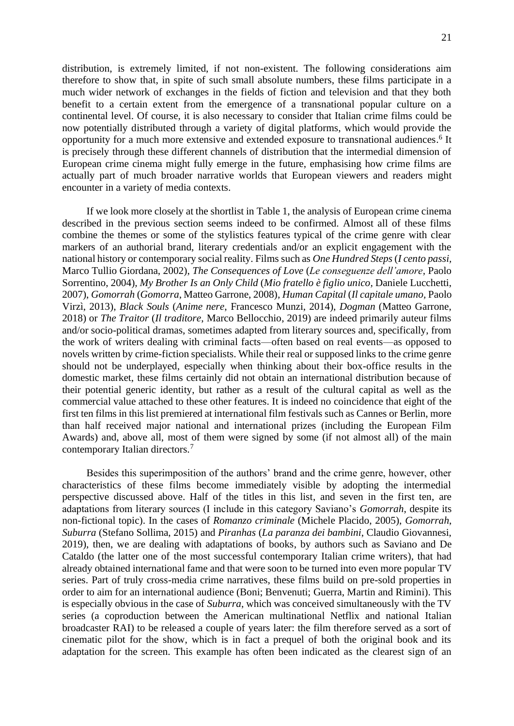distribution, is extremely limited, if not non-existent. The following considerations aim therefore to show that, in spite of such small absolute numbers, these films participate in a much wider network of exchanges in the fields of fiction and television and that they both benefit to a certain extent from the emergence of a transnational popular culture on a continental level. Of course, it is also necessary to consider that Italian crime films could be now potentially distributed through a variety of digital platforms, which would provide the opportunity for a much more extensive and extended exposure to transnational audiences. 6 It is precisely through these different channels of distribution that the intermedial dimension of European crime cinema might fully emerge in the future, emphasising how crime films are actually part of much broader narrative worlds that European viewers and readers might encounter in a variety of media contexts.

If we look more closely at the shortlist in Table 1, the analysis of European crime cinema described in the previous section seems indeed to be confirmed. Almost all of these films combine the themes or some of the stylistics features typical of the crime genre with clear markers of an authorial brand, literary credentials and/or an explicit engagement with the national history or contemporary social reality. Films such as *One Hundred Steps* (*I cento passi,*  Marco Tullio Giordana, 2002), *The Consequences of Love* (*Le conseguenze dell'amore,* Paolo Sorrentino, 2004)*, My Brother Is an Only Child* (*Mio fratello è figlio unico,* Daniele Lucchetti, 2007), *Gomorrah* (*Gomorra*, Matteo Garrone, 2008)*, Human Capital* (*Il capitale umano,* Paolo Virzì, 2013), *Black Souls* (*Anime nere*, Francesco Munzi, 2014), *Dogman* (Matteo Garrone, 2018) or *The Traitor* (*Il traditore*, Marco Bellocchio, 2019) are indeed primarily auteur films and/or socio-political dramas, sometimes adapted from literary sources and, specifically, from the work of writers dealing with criminal facts—often based on real events—as opposed to novels written by crime-fiction specialists. While their real or supposed links to the crime genre should not be underplayed, especially when thinking about their box-office results in the domestic market, these films certainly did not obtain an international distribution because of their potential generic identity, but rather as a result of the cultural capital as well as the commercial value attached to these other features. It is indeed no coincidence that eight of the first ten films in this list premiered at international film festivals such as Cannes or Berlin, more than half received major national and international prizes (including the European Film Awards) and, above all, most of them were signed by some (if not almost all) of the main contemporary Italian directors.<sup>7</sup>

Besides this superimposition of the authors' brand and the crime genre, however, other characteristics of these films become immediately visible by adopting the intermedial perspective discussed above. Half of the titles in this list, and seven in the first ten, are adaptations from literary sources (I include in this category Saviano's *Gomorrah*, despite its non-fictional topic). In the cases of *Romanzo criminale* (Michele Placido, 2005), *Gomorrah*, *Suburra* (Stefano Sollima, 2015) and *Piranhas* (*La paranza dei bambini*, Claudio Giovannesi, 2019), then, we are dealing with adaptations of books, by authors such as Saviano and De Cataldo (the latter one of the most successful contemporary Italian crime writers), that had already obtained international fame and that were soon to be turned into even more popular TV series. Part of truly cross-media crime narratives, these films build on pre-sold properties in order to aim for an international audience (Boni; Benvenuti; Guerra, Martin and Rimini). This is especially obvious in the case of *Suburra*, which was conceived simultaneously with the TV series (a coproduction between the American multinational Netflix and national Italian broadcaster RAI) to be released a couple of years later: the film therefore served as a sort of cinematic pilot for the show, which is in fact a prequel of both the original book and its adaptation for the screen. This example has often been indicated as the clearest sign of an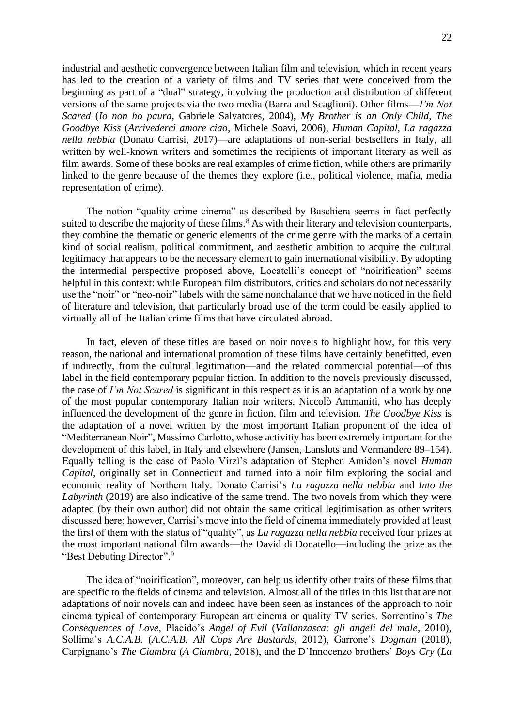industrial and aesthetic convergence between Italian film and television, which in recent years has led to the creation of a variety of films and TV series that were conceived from the beginning as part of a "dual" strategy, involving the production and distribution of different versions of the same projects via the two media (Barra and Scaglioni). Other films—*I'm Not Scared* (*Io non ho paura*, Gabriele Salvatores, 2004), *My Brother is an Only Child*, *The Goodbye Kiss* (*Arrivederci amore ciao*, Michele Soavi, 2006), *Human Capital*, *La ragazza nella nebbia* (Donato Carrisi, 2017)—are adaptations of non-serial bestsellers in Italy, all written by well-known writers and sometimes the recipients of important literary as well as film awards. Some of these books are real examples of crime fiction, while others are primarily linked to the genre because of the themes they explore (i.e., political violence, mafia, media representation of crime).

The notion "quality crime cinema" as described by Baschiera seems in fact perfectly suited to describe the majority of these films.<sup>8</sup> As with their literary and television counterparts, they combine the thematic or generic elements of the crime genre with the marks of a certain kind of social realism, political commitment, and aesthetic ambition to acquire the cultural legitimacy that appears to be the necessary element to gain international visibility. By adopting the intermedial perspective proposed above, Locatelli's concept of "noirification" seems helpful in this context: while European film distributors, critics and scholars do not necessarily use the "noir" or "neo-noir" labels with the same nonchalance that we have noticed in the field of literature and television, that particularly broad use of the term could be easily applied to virtually all of the Italian crime films that have circulated abroad.

In fact, eleven of these titles are based on noir novels to highlight how, for this very reason, the national and international promotion of these films have certainly benefitted, even if indirectly, from the cultural legitimation—and the related commercial potential—of this label in the field contemporary popular fiction. In addition to the novels previously discussed, the case of *I'm Not Scared* is significant in this respect as it is an adaptation of a work by one of the most popular contemporary Italian noir writers, Niccolò Ammaniti, who has deeply influenced the development of the genre in fiction, film and television. *The Goodbye Kiss* is the adaptation of a novel written by the most important Italian proponent of the idea of "Mediterranean Noir", Massimo Carlotto, whose activitiy has been extremely important for the development of this label, in Italy and elsewhere (Jansen, Lanslots and Vermandere 89–154). Equally telling is the case of Paolo Virzì's adaptation of Stephen Amidon's novel *Human Capital*, originally set in Connecticut and turned into a noir film exploring the social and economic reality of Northern Italy. Donato Carrisi's *La ragazza nella nebbia* and *Into the Labyrinth* (2019) are also indicative of the same trend. The two novels from which they were adapted (by their own author) did not obtain the same critical legitimisation as other writers discussed here; however, Carrisi's move into the field of cinema immediately provided at least the first of them with the status of "quality", as *La ragazza nella nebbia* received four prizes at the most important national film awards—the David di Donatello—including the prize as the "Best Debuting Director".<sup>9</sup>

The idea of "noirification", moreover, can help us identify other traits of these films that are specific to the fields of cinema and television. Almost all of the titles in this list that are not adaptations of noir novels can and indeed have been seen as instances of the approach to noir cinema typical of contemporary European art cinema or quality TV series. Sorrentino's *The Consequences of Love*, Placido's *Angel of Evil* (*Vallanzasca: gli angeli del male*, 2010), Sollima's *A.C.A.B.* (*A.C.A.B. All Cops Are Bastards*, 2012), Garrone's *Dogman* (2018), Carpignano's *The Ciambra* (*A Ciambra*, 2018), and the D'Innocenzo brothers' *Boys Cry* (*La*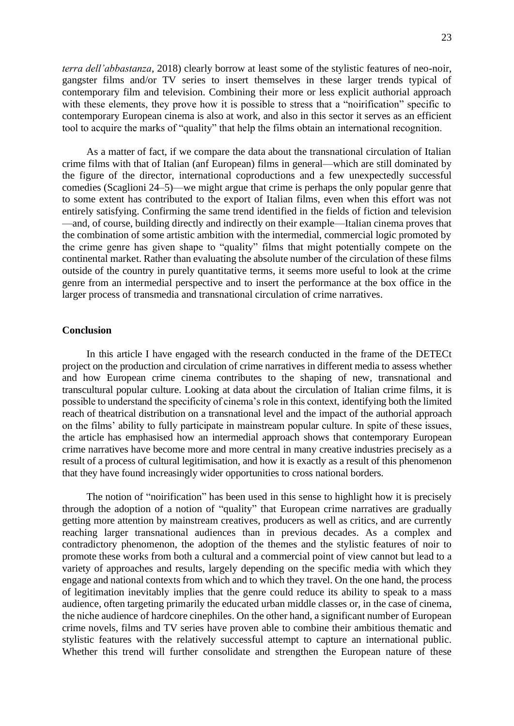*terra dell'abbastanza*, 2018) clearly borrow at least some of the stylistic features of neo-noir, gangster films and/or TV series to insert themselves in these larger trends typical of contemporary film and television. Combining their more or less explicit authorial approach with these elements, they prove how it is possible to stress that a "noirification" specific to contemporary European cinema is also at work, and also in this sector it serves as an efficient tool to acquire the marks of "quality" that help the films obtain an international recognition.

As a matter of fact, if we compare the data about the transnational circulation of Italian crime films with that of Italian (anf European) films in general—which are still dominated by the figure of the director, international coproductions and a few unexpectedly successful comedies (Scaglioni 24–5)—we might argue that crime is perhaps the only popular genre that to some extent has contributed to the export of Italian films, even when this effort was not entirely satisfying. Confirming the same trend identified in the fields of fiction and television —and, of course, building directly and indirectly on their example—Italian cinema proves that the combination of some artistic ambition with the intermedial, commercial logic promoted by the crime genre has given shape to "quality" films that might potentially compete on the continental market. Rather than evaluating the absolute number of the circulation of these films outside of the country in purely quantitative terms, it seems more useful to look at the crime genre from an intermedial perspective and to insert the performance at the box office in the larger process of transmedia and transnational circulation of crime narratives.

#### **Conclusion**

In this article I have engaged with the research conducted in the frame of the DETECt project on the production and circulation of crime narratives in different media to assess whether and how European crime cinema contributes to the shaping of new, transnational and transcultural popular culture. Looking at data about the circulation of Italian crime films, it is possible to understand the specificity of cinema's role in this context, identifying both the limited reach of theatrical distribution on a transnational level and the impact of the authorial approach on the films' ability to fully participate in mainstream popular culture. In spite of these issues, the article has emphasised how an intermedial approach shows that contemporary European crime narratives have become more and more central in many creative industries precisely as a result of a process of cultural legitimisation, and how it is exactly as a result of this phenomenon that they have found increasingly wider opportunities to cross national borders.

The notion of "noirification" has been used in this sense to highlight how it is precisely through the adoption of a notion of "quality" that European crime narratives are gradually getting more attention by mainstream creatives, producers as well as critics, and are currently reaching larger transnational audiences than in previous decades. As a complex and contradictory phenomenon, the adoption of the themes and the stylistic features of noir to promote these works from both a cultural and a commercial point of view cannot but lead to a variety of approaches and results, largely depending on the specific media with which they engage and national contexts from which and to which they travel. On the one hand, the process of legitimation inevitably implies that the genre could reduce its ability to speak to a mass audience, often targeting primarily the educated urban middle classes or, in the case of cinema, the niche audience of hardcore cinephiles. On the other hand, a significant number of European crime novels, films and TV series have proven able to combine their ambitious thematic and stylistic features with the relatively successful attempt to capture an international public. Whether this trend will further consolidate and strengthen the European nature of these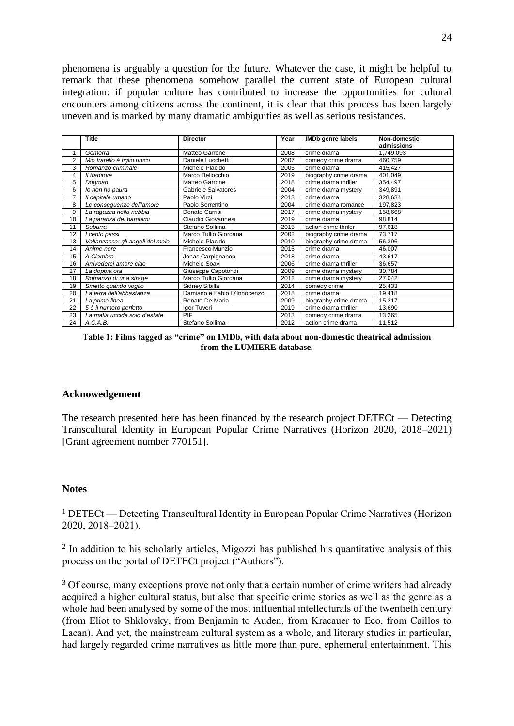phenomena is arguably a question for the future. Whatever the case, it might be helpful to remark that these phenomena somehow parallel the current state of European cultural integration: if popular culture has contributed to increase the opportunities for cultural encounters among citizens across the continent, it is clear that this process has been largely uneven and is marked by many dramatic ambiguities as well as serious resistances.

|                | <b>Title</b>                     | <b>Director</b>             | Year | <b>IMDb</b> genre labels | <b>Non-domestic</b> |
|----------------|----------------------------------|-----------------------------|------|--------------------------|---------------------|
|                |                                  |                             |      |                          | admissions          |
| 1              | Gomorra                          | Matteo Garrone              | 2008 | crime drama              | 1,749,093           |
| 2              | Mio fratello è figlio unico      | Daniele Lucchetti           | 2007 | comedy crime drama       | 460,759             |
| 3              | Romanzo criminale                | Michele Placido             | 2005 | crime drama              | 415,427             |
| 4              | Il traditore                     | Marco Bellocchio            | 2019 | biography crime drama    | 401,049             |
| 5              | Dogman                           | Matteo Garrone              | 2018 | crime drama thriller     | 354,497             |
| 6              | lo non ho paura                  | <b>Gabriele Salvatores</b>  | 2004 | crime drama mystery      | 349,891             |
| $\overline{7}$ | Il capitale umano                | Paolo Virzì                 | 2013 | crime drama              | 328,634             |
| 8              | Le conseguenze dell'amore        | Paolo Sorrentino            | 2004 | crime drama romance      | 197,823             |
| 9              | La ragazza nella nebbia          | Donato Carrisi              | 2017 | crime drama mystery      | 158,668             |
| 10             | La paranza dei bambimi           | Claudio Giovannesi          | 2019 | crime drama              | 98,814              |
| 11             | Suburra                          | Stefano Sollima             | 2015 | action crime thriler     | 97,618              |
| 12             | cento passi                      | Marco Tullio Giordana       | 2002 | biography crime drama    | 73,717              |
| 13             | Vallanzasca: gli angeli del male | Michele Placido             | 2010 | biography crime drama    | 56,396              |
| 14             | Anime nere                       | Francesco Munzio            | 2015 | crime drama              | 46.007              |
| 15             | A Ciambra                        | Jonas Carpignanop           | 2018 | crime drama              | 43,617              |
| 16             | Arrivederci amore ciao           | Michele Soavi               | 2006 | crime drama thriller     | 36,657              |
| 27             | La doppia ora                    | Giuseppe Capotondi          | 2009 | crime drama mystery      | 30,784              |
| 18             | Romanzo di una strage            | Marco Tullio Giordana       | 2012 | crime drama mystery      | 27,042              |
| 19             | Smetto quando voglio             | Sidney Sibilla              | 2014 | comedy crime             | 25,433              |
| 20             | La terra dell'abbastanza         | Damiano e Fabio D'Innocenzo | 2018 | crime drama              | 19,418              |
| 21             | La prima linea                   | Renato De Maria             | 2009 | biography crime drama    | 15.217              |
| 22             | 5 è il numero perfetto           | Igor Tuveri                 | 2019 | crime drama thriller     | 13,690              |
| 23             | La mafia uccide solo d'estate    | PIF                         | 2013 | comedy crime drama       | 13,265              |
| 24             | A.C.A.B.                         | Stefano Sollima             | 2012 | action crime drama       | 11,512              |

**Table 1: Films tagged as "crime" on IMDb, with data about non-domestic theatrical admission from the LUMIERE database.**

#### **Acknowedgement**

The research presented here has been financed by the research project DETECt — Detecting Transcultural Identity in European Popular Crime Narratives (Horizon 2020, 2018–2021) [Grant agreement number 770151].

#### **Notes**

<sup>1</sup> DETECt — Detecting Transcultural Identity in European Popular Crime Narratives (Horizon 2020, 2018–2021).

<sup>2</sup> In addition to his scholarly articles, Migozzi has published his quantitative analysis of this process on the portal of DETECt project ("Authors").

<sup>3</sup> Of course, many exceptions prove not only that a certain number of crime writers had already acquired a higher cultural status, but also that specific crime stories as well as the genre as a whole had been analysed by some of the most influential intellecturals of the twentieth century (from Eliot to Shklovsky, from Benjamin to Auden, from Kracauer to Eco, from Caillos to Lacan). And yet, the mainstream cultural system as a whole, and literary studies in particular, had largely regarded crime narratives as little more than pure, ephemeral entertainment. This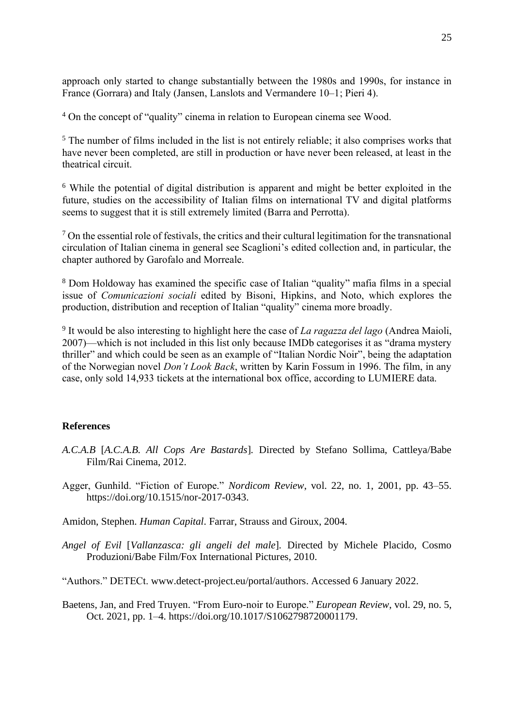approach only started to change substantially between the 1980s and 1990s, for instance in France (Gorrara) and Italy (Jansen, Lanslots and Vermandere 10–1; Pieri 4).

<sup>4</sup> On the concept of "quality" cinema in relation to European cinema see Wood.

<sup>5</sup> The number of films included in the list is not entirely reliable; it also comprises works that have never been completed, are still in production or have never been released, at least in the theatrical circuit.

<sup>6</sup> While the potential of digital distribution is apparent and might be better exploited in the future, studies on the accessibility of Italian films on international TV and digital platforms seems to suggest that it is still extremely limited (Barra and Perrotta).

 $<sup>7</sup>$  On the essential role of festivals, the critics and their cultural legitimation for the transnational</sup> circulation of Italian cinema in general see Scaglioni's edited collection and, in particular, the chapter authored by Garofalo and Morreale.

<sup>8</sup> Dom Holdoway has examined the specific case of Italian "quality" mafia films in a special issue of *Comunicazioni sociali* edited by Bisoni, Hipkins, and Noto, which explores the production, distribution and reception of Italian "quality" cinema more broadly.

9 It would be also interesting to highlight here the case of *La ragazza del lago* (Andrea Maioli, 2007)—which is not included in this list only because IMDb categorises it as "drama mystery thriller" and which could be seen as an example of "Italian Nordic Noir", being the adaptation of the Norwegian novel *Don't Look Back*, written by Karin Fossum in 1996. The film, in any case, only sold 14,933 tickets at the international box office, according to LUMIERE data.

## **References**

- *A.C.A.B* [*A.C.A.B. All Cops Are Bastards*]*.* Directed by Stefano Sollima, Cattleya/Babe Film/Rai Cinema, 2012.
- Agger, Gunhild. "Fiction of Europe." *Nordicom Review*, vol. 22, no. 1, 2001, pp. 43–55. [https://doi.org/10.1515/nor-2017-0343.](https://doi.org/10.1515/nor-2017-0343)
- Amidon, Stephen. *Human Capital*. Farrar, Strauss and Giroux, 2004.
- *Angel of Evil* [*Vallanzasca: gli angeli del male*]*.* Directed by Michele Placido, Cosmo Produzioni/Babe Film/Fox International Pictures, 2010.
- "Authors." DETECt. [www.detect-project.eu/portal/authors.](https://www.detect-project.eu/portal/authors/) Accessed 6 January 2022.
- Baetens, Jan, and Fred Truyen. "From Euro-noir to Europe." *European Review*, vol. 29, no. 5, Oct. 2021, pp. 1–4. [https://doi.org/10.1017/S1062798720001179.](https://doi.org/10.1017/S1062798720001179)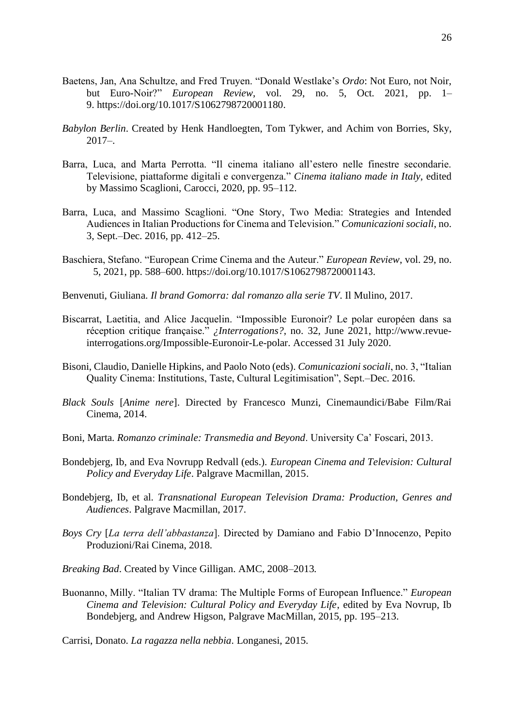- Baetens, Jan, Ana Schultze, and Fred Truyen. "Donald Westlake's *Ordo*: Not Euro, not Noir, but Euro-Noir?" *European Review*, vol. 29, no. 5, Oct. 2021, pp. 1– 9. [https://doi.org/10.1017/S1062798720001180.](https://doi.org/10.1017/S1062798720001180)
- *Babylon Berlin*. Created by Henk Handloegten, Tom Tykwer, and Achim von Borries, Sky,  $2017-$
- Barra, Luca, and Marta Perrotta. "Il cinema italiano all'estero nelle finestre secondarie. Televisione, piattaforme digitali e convergenza." *Cinema italiano made in Italy*, edited by Massimo Scaglioni, Carocci, 2020, pp. 95–112.
- Barra, Luca, and Massimo Scaglioni. "One Story, Two Media: Strategies and Intended Audiences in Italian Productions for Cinema and Television." *Comunicazioni sociali*, no. 3, Sept.–Dec. 2016, pp. 412–25.
- Baschiera, Stefano. "European Crime Cinema and the Auteur." *European Review*, vol. 29, no. 5, 2021, pp. 588–600. [https://doi.org/10.1017/S1062798720001143.](https://doi.org/10.1017/S1062798720001143)
- Benvenuti, Giuliana. *Il brand Gomorra: dal romanzo alla serie TV*. Il Mulino, 2017.
- Biscarrat, Laetitia, and Alice Jacquelin. "Impossible Euronoir? Le polar européen dans sa réception critique française." *¿Interrogations?*, no. 32, June 2021, [http://www.revue](http://www.revue-interrogations.org/Impossible-Euronoir-Le-polar.%20Accessed%2031%20July%202020)[interrogations.org/Impossible-Euronoir-Le-polar. Accessed 31 July 2020.](http://www.revue-interrogations.org/Impossible-Euronoir-Le-polar.%20Accessed%2031%20July%202020)
- Bisoni, Claudio, Danielle Hipkins, and Paolo Noto (eds). *Comunicazioni sociali*, no. 3, "Italian Quality Cinema: Institutions, Taste, Cultural Legitimisation", Sept.–Dec. 2016.
- *Black Souls* [*Anime nere*]. Directed by Francesco Munzi, Cinemaundici/Babe Film/Rai Cinema, 2014.
- Boni, Marta. *Romanzo criminale: Transmedia and Beyond*. University Ca' Foscari, 2013.
- Bondebjerg, Ib, and Eva Novrupp Redvall (eds.). *European Cinema and Television: Cultural Policy and Everyday Life*. Palgrave Macmillan, 2015.
- Bondebjerg, Ib, et al. *Transnational European Television Drama: Production, Genres and Audiences*. Palgrave Macmillan, 2017.
- *Boys Cry* [*La terra dell'abbastanza*]. Directed by Damiano and Fabio D'Innocenzo, Pepito Produzioni/Rai Cinema, 2018.
- *Breaking Bad*. Created by Vince Gilligan. AMC, 2008–2013*.*
- Buonanno, Milly. "Italian TV drama: The Multiple Forms of European Influence." *European Cinema and Television: Cultural Policy and Everyday Life*, edited by Eva Novrup, Ib Bondebjerg, and Andrew Higson, Palgrave MacMillan, 2015, pp. 195–213.

Carrisi, Donato. *La ragazza nella nebbia*. Longanesi, 2015.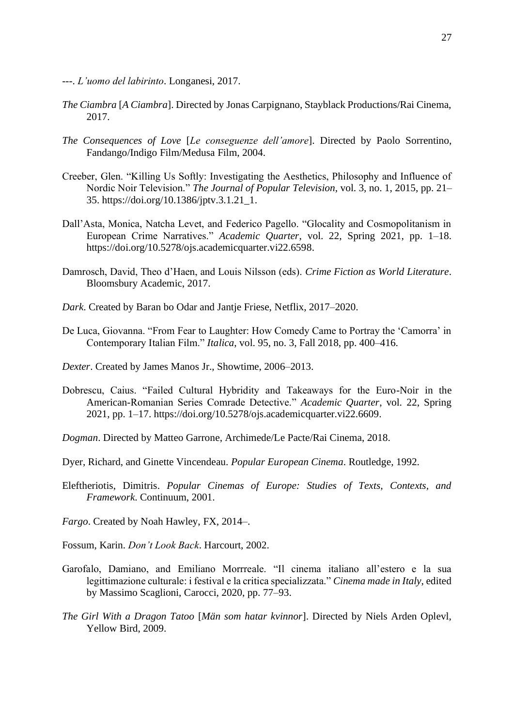- ---. *L'uomo del labirinto*. Longanesi, 2017.
- *The Ciambra* [*A Ciambra*]. Directed by Jonas Carpignano, Stayblack Productions/Rai Cinema, 2017.
- *The Consequences of Love* [*Le conseguenze dell'amore*]. Directed by Paolo Sorrentino, Fandango/Indigo Film/Medusa Film, 2004.
- Creeber, Glen. "Killing Us Softly: Investigating the Aesthetics, Philosophy and Influence of Nordic Noir Television." *The Journal of Popular Television*, vol. 3, no. 1, 2015, pp. 21– 35. [https://doi.org/10.1386/jptv.3.1.21\\_1.](https://doi.org/10.1386/jptv.3.1.21_1)
- Dall'Asta, Monica, Natcha Levet, and Federico Pagello. "Glocality and Cosmopolitanism in European Crime Narratives." *Academic Quarter*, vol. 22, Spring 2021, pp. 1–18. [https://doi.org/10.5278/ojs.academicquarter.vi22.6598.](https://doi.org/10.5278/ojs.academicquarter.vi22.6598)
- Damrosch, David, Theo d'Haen, and Louis Nilsson (eds). *Crime Fiction as World Literature*. Bloomsbury Academic, 2017.
- *Dark*. Created by Baran bo Odar and Jantje Friese, Netflix, 2017–2020.
- De Luca, Giovanna. "From Fear to Laughter: How Comedy Came to Portray the 'Camorra' in Contemporary Italian Film." *Italica*, vol. 95, no. 3, Fall 2018, pp. 400–416.
- *Dexter*. Created by James Manos Jr., Showtime, 2006–2013.
- Dobrescu, Caius. "Failed Cultural Hybridity and Takeaways for the Euro-Noir in the American-Romanian Series Comrade Detective." *Academic Quarter*, vol. 22, Spring 2021, pp. 1–17. [https://doi.org/10.5278/ojs.academicquarter.vi22.6609.](https://doi.org/10.5278/ojs.academicquarter.vi22.6609)
- *Dogman*. Directed by Matteo Garrone, Archimede/Le Pacte/Rai Cinema, 2018.
- Dyer, Richard, and Ginette Vincendeau. *Popular European Cinema*. Routledge, 1992.
- Eleftheriotis, Dimitris. *Popular Cinemas of Europe: Studies of Texts, Contexts, and Framework*. Continuum, 2001.
- *Fargo*. Created by Noah Hawley, FX, 2014–.
- Fossum, Karin. *Don't Look Back*. Harcourt, 2002.
- Garofalo, Damiano, and Emiliano Morrreale. "Il cinema italiano all'estero e la sua legittimazione culturale: i festival e la critica specializzata." *Cinema made in Italy*, edited by Massimo Scaglioni, Carocci, 2020, pp. 77–93.
- *The Girl With a Dragon Tatoo* [*Män som hatar kvinnor*]. Directed by Niels Arden Oplevl, Yellow Bird, 2009.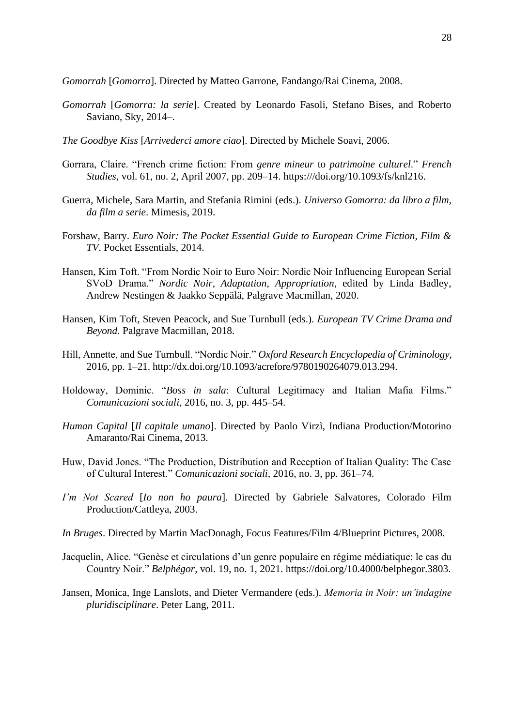*Gomorrah* [*Gomorra*]. Directed by Matteo Garrone, Fandango/Rai Cinema, 2008.

- *Gomorrah* [*Gomorra: la serie*]. Created by Leonardo Fasoli, Stefano Bises, and Roberto Saviano, Sky, 2014–.
- *The Goodbye Kiss* [*Arrivederci amore ciao*]. Directed by Michele Soavi, 2006.
- Gorrara, Claire. "French crime fiction: From *genre mineur* to *patrimoine culturel*." *French Studies*, vol. 61, no. 2, April 2007, pp. 209–14. [https:///doi.org/10.1093/fs/knl216.](https://doi.org/10.1093/fs/knl216)
- Guerra, Michele, Sara Martin, and Stefania Rimini (eds.). *Universo Gomorra: da libro a film, da film a serie*. Mimesis, 2019.
- Forshaw, Barry. *Euro Noir: The Pocket Essential Guide to European Crime Fiction, Film & TV*. Pocket Essentials, 2014.
- Hansen, Kim Toft. "From Nordic Noir to Euro Noir: Nordic Noir Influencing European Serial SVoD Drama." *Nordic Noir, Adaptation, Appropriation*, edited by Linda Badley, Andrew Nestingen & Jaakko Seppälä, Palgrave Macmillan, 2020.
- Hansen, Kim Toft, Steven Peacock, and Sue Turnbull (eds.). *European TV Crime Drama and Beyond.* Palgrave Macmillan, 2018.
- Hill, Annette, and Sue Turnbull. "Nordic Noir." *Oxford Research Encyclopedia of Criminology*, 2016, pp. 1–21[. http://dx.doi.org/10.1093/acrefore/9780190264079.013.294.](http://dx.doi.org/10.1093/acrefore/9780190264079.013.294)
- Holdoway, Dominic. "*Boss in sala*: Cultural Legitimacy and Italian Mafia Films." *Comunicazioni sociali*, 2016, no. 3, pp. 445–54.
- *Human Capital* [*Il capitale umano*]. Directed by Paolo Virzì, Indiana Production/Motorino Amaranto/Rai Cinema, 2013.
- Huw, David Jones. "The Production, Distribution and Reception of Italian Quality: The Case of Cultural Interest." *Comunicazioni sociali*, 2016, no. 3, pp. 361–74.
- *I'm Not Scared* [*Io non ho paura*]*.* Directed by Gabriele Salvatores, Colorado Film Production/Cattleya, 2003.
- *In Bruges*. Directed by Martin MacDonagh, Focus Features/Film 4/Blueprint Pictures, 2008.
- Jacquelin, Alice. "Genèse et circulations d'un genre populaire en régime médiatique: le cas du Country Noir." *Belphégor*, vol. 19, no. 1, 2021. [https://doi.org/10.4000/belphegor.3803.](https://doi.org/10.4000/belphegor.3803)
- Jansen, Monica, Inge Lanslots, and Dieter Vermandere (eds.). *Memoria in Noir: un'indagine pluridisciplinare*. Peter Lang, 2011.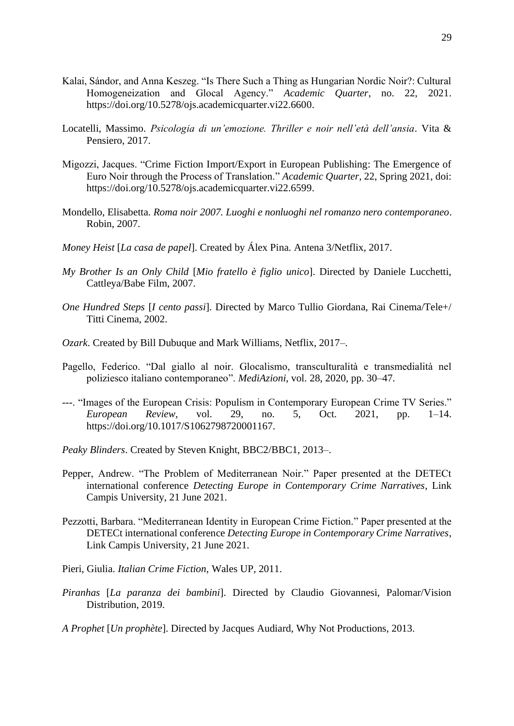- Kalai, Sándor, and Anna Keszeg. "Is There Such a Thing as Hungarian Nordic Noir?: Cultural Homogeneization and Glocal Agency." *Academic Quarter*, no. 22, 2021. [https://doi.org/10.5278/ojs.academicquarter.vi22.6600.](https://doi.org/10.5278/ojs.academicquarter.vi22.6600)
- Locatelli, Massimo. *Psicologia di un'emozione. Thriller e noir nell'età dell'ansia*. Vita & Pensiero, 2017.
- Migozzi, Jacques. "Crime Fiction Import/Export in European Publishing: The Emergence of Euro Noir through the Process of Translation." *Academic Quarter*, 22, Spring 2021, doi: [https://doi.org/10.5278/ojs.academicquarter.vi22.6599.](https://doi.org/10.5278/ojs.academicquarter.vi22.6599)
- Mondello, Elisabetta. *Roma noir 2007. Luoghi e nonluoghi nel romanzo nero contemporaneo*. Robin, 2007.
- *Money Heist* [*La casa de papel*]. Created by Álex Pina. Antena 3/Netflix, 2017.
- *My Brother Is an Only Child* [*Mio fratello è figlio unico*]. Directed by Daniele Lucchetti, Cattleya/Babe Film, 2007.
- *One Hundred Steps* [*I cento passi*]. Directed by Marco Tullio Giordana, Rai Cinema/Tele+/ Titti Cinema, 2002.
- *Ozark*. Created by Bill Dubuque and Mark Williams, Netflix, 2017–.
- Pagello, Federico. "Dal giallo al noir. Glocalismo, transculturalità e transmedialità nel poliziesco italiano contemporaneo". *MediAzioni*, vol. 28, 2020, pp. 30–47.
- ---. "Images of the European Crisis: Populism in Contemporary European Crime TV Series." *European Review*, vol. 29, no. 5, Oct. 2021, pp. 1–14. [https://doi.org/10.1017/S1062798720001167.](https://doi.org/10.1017/S1062798720001167)
- *Peaky Blinders*. Created by Steven Knight, BBC2/BBC1, 2013–.
- Pepper, Andrew. "The Problem of Mediterranean Noir." Paper presented at the DETECt international conference *Detecting Europe in Contemporary Crime Narratives*, Link Campis University, 21 June 2021.
- Pezzotti, Barbara. "Mediterranean Identity in European Crime Fiction." Paper presented at the DETECt international conference *Detecting Europe in Contemporary Crime Narratives*, Link Campis University, 21 June 2021.
- Pieri, Giulia. *Italian Crime Fiction*, Wales UP, 2011.
- *Piranhas* [*La paranza dei bambini*]. Directed by Claudio Giovannesi, Palomar/Vision Distribution, 2019.
- *A Prophet* [*Un prophète*]. Directed by Jacques Audiard, Why Not Productions, 2013.